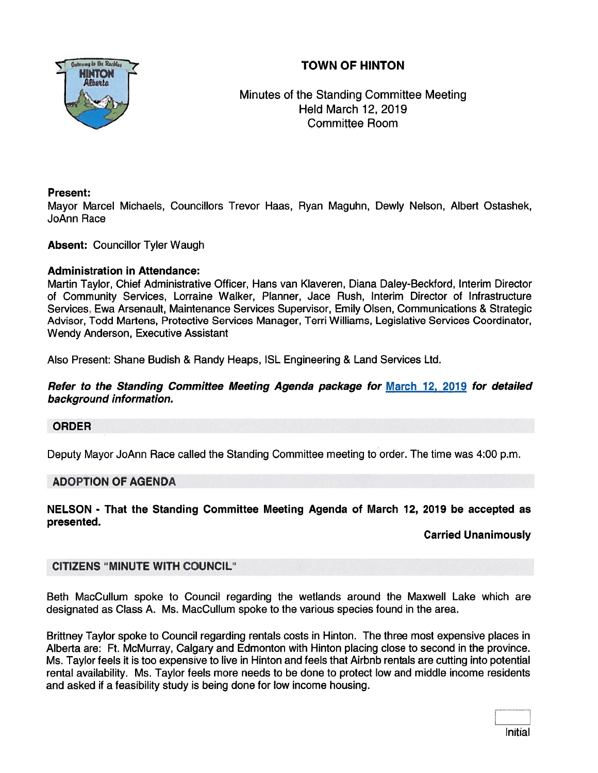# TOWN OF HINTON



Minutes of the Standing Committee Meeting Held March 12, 2019 Committee Room

### Present:

Mayor Marcel Michaels, Councillors Trevor Haas, Ryan Maguhn, Dewly Nelson, Albert Ostashek, ]oAnn Race

### Absent: Councillor Tyler Waugh

### Administration in Attendance:

Martin Taylor, Chief Administrative Officer, Hans van Klaveren, Diana Daley-Beckford, Interim Director of Community Services, Lorraine Walker, Planner, Jace Rush, Interim Director of Infrastructure Services, Ewa Arsenault, Maintenance Services Supervisor, Emily Olsen, Communications & Strategic Advisor, Todd Martens, Protective Services Manager, Tern Williams, Legislative Services Coordinator, Wendy Anderson, Executive Assistant

Also Present: Shane Budish & Randy Heaps, ISL Engineering & Land Services Ltd.

### Refer to the Standing Committee Meeting Agenda package for March 12, 2019 for detailed background information.

#### ORDER

Deputy Mayor JoAnn Race called the Standing Committee meeting to order. The time was 4:00 p.m.

### ADOPTION OF AGENDA

NELSON - That the Standing Committee Meeting Agenda of March 12, 2019 be accepted as presented.

### Carried Unanimously

### CITIZENS "MINUTE WITH COUNCIL"

Beth MacCullum spoke to Council regarding the wetlands around the Maxwell Lake which are designated as Class A. Ms. MacCullum spoke to the various species found in the area.

Briffney Taylor spoke to Council regarding rentals costs in Hinton. The three most expensive places in Alberta are: Ft. McMurray, Calgary and Edmonton with Hinton placing close to second in the province. Ms. Taylor feels it is too expensive to live in Hinton and feels that Airbnb rentals are cutting into potential rental availability. Ms. Taylor feels more needs to be done to protect low and middle income residents and asked if <sup>a</sup> feasibility study is being done for low income housing.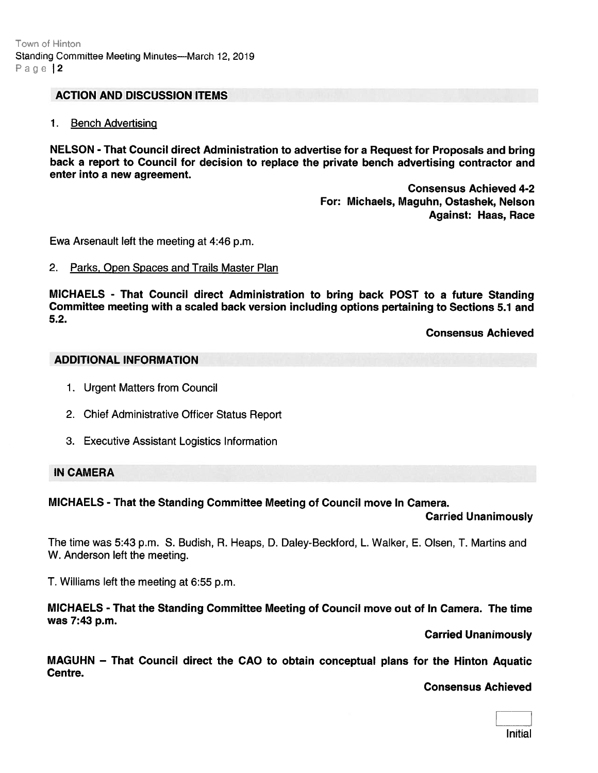#### ACTION AND DISCUSSION ITEMS

1. Bench Advertising

NELSON -That Council direct Administration to advertise for <sup>a</sup> Request for Proposals and bring back <sup>a</sup> repor<sup>t</sup> to Council for decision to replace the private bench advertising contractor and enter into <sup>a</sup> new agreement.

> Consensus Achieved 4-2 For: Michaels, Maguhn, Ostashek, Nelson Against: Haas, Race

Ewa Arsenault left the meeting at 4:46 p.m.

#### 2. Parks, Open Spaces and Trails Master Plan

MICHAELS - That Council direct Administration to bring back POST to <sup>a</sup> future Standing Committee meeting with <sup>a</sup> scaled back version including options pertaining to Sections 5.1 and 5.2.

Consensus Achieved

### ADDITIONAL INFORMATION

- 1. Urgent Matters from Council
- 2. Chief Administrative Officer Status Report
- 3. Executive Assistant Logistics Information

#### IN CAMERA

#### MICHAELS - That the Standing Committee Meeting of Council move In Camera.

Carried Unanimously

The time was 5:43 p.m. S. Budish, R. Heaps, D. Daley-Beckford, L. Walker, E. Olsen, T. Martins and W. Anderson left the meeting.

T. Williams left the meeting at 6:55 p.m.

MICHAELS - That the Standing Committee Meeting of Council move out of In Camera. The time was 7:43 p.m.

Carried Unanimously

MAGUHN — That Council direct the CAO to obtain conceptual plans for the Hinton Aquatic Centre.

Consensus Achieved